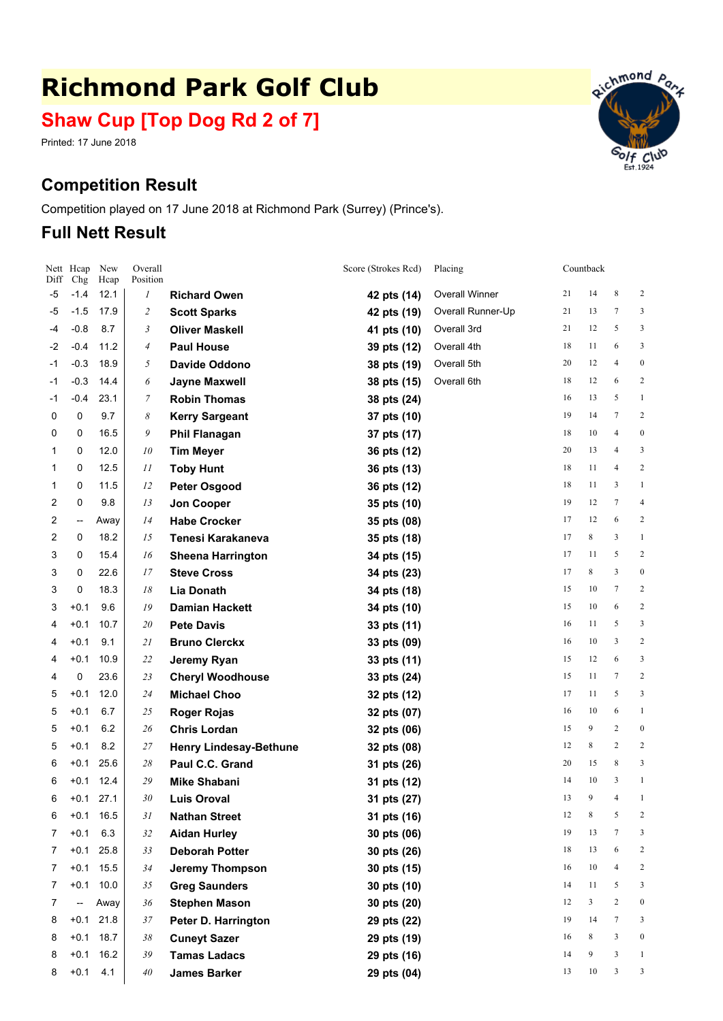# **Richmond Park Golf Club**

# **Shaw Cup [Top Dog Rd 2 of 7]**

Printed: 17 June 2018

# **Competition Result**

Competition played on 17 June 2018 at Richmond Park (Surrey) (Prince's).

## **Full Nett Result**

| Diff           | Nett Hcap<br>Chg | New<br>Hcap | Overall<br>Position      |                               | Score (Strokes Rcd) | Placing               |    | Countback    |                |                  |
|----------------|------------------|-------------|--------------------------|-------------------------------|---------------------|-----------------------|----|--------------|----------------|------------------|
| -5             | $-1.4$           | 12.1        | 1                        | <b>Richard Owen</b>           | 42 pts (14)         | <b>Overall Winner</b> | 21 | 14           | 8              | $\overline{c}$   |
| -5             | $-1.5$           | 17.9        | $\overline{\mathcal{L}}$ | <b>Scott Sparks</b>           | 42 pts (19)         | Overall Runner-Up     | 21 | 13           | 7              | 3                |
| -4             | $-0.8$           | 8.7         | 3                        | <b>Oliver Maskell</b>         | 41 pts (10)         | Overall 3rd           | 21 | 12           | 5              | 3                |
| $-2$           | $-0.4$           | 11.2        | 4                        | <b>Paul House</b>             | 39 pts (12)         | Overall 4th           | 18 | 11           | 6              | 3                |
| $-1$           | $-0.3$           | 18.9        | 5                        | Davide Oddono                 | 38 pts (19)         | Overall 5th           | 20 | 12           | $\overline{4}$ | $\boldsymbol{0}$ |
| $-1$           | $-0.3$           | 14.4        | 6                        | <b>Jayne Maxwell</b>          | 38 pts (15)         | Overall 6th           | 18 | 12           | 6              | $\overline{c}$   |
| $-1$           | $-0.4$           | 23.1        | 7                        | <b>Robin Thomas</b>           | 38 pts (24)         |                       | 16 | 13           | 5              | $\mathbf{1}$     |
| 0              | 0                | 9.7         | 8                        | <b>Kerry Sargeant</b>         | 37 pts (10)         |                       | 19 | 14           | $\tau$         | $\overline{c}$   |
| 0              | 0                | 16.5        | 9                        | <b>Phil Flanagan</b>          | 37 pts (17)         |                       | 18 | 10           | $\overline{4}$ | $\boldsymbol{0}$ |
| 1              | 0                | 12.0        | 10                       | <b>Tim Meyer</b>              | 36 pts (12)         |                       | 20 | 13           | $\overline{4}$ | 3                |
| 1              | 0                | 12.5        | 11                       | <b>Toby Hunt</b>              | 36 pts (13)         |                       | 18 | 11           | $\overline{4}$ | $\overline{c}$   |
| 1              | 0                | 11.5        | 12                       | <b>Peter Osgood</b>           | 36 pts (12)         |                       | 18 | 11           | 3              | $\mathbf{1}$     |
| 2              | 0                | 9.8         | 13                       | Jon Cooper                    | 35 pts (10)         |                       | 19 | 12           | $\tau$         | $\overline{4}$   |
| $\overline{2}$ | --               | Away        | 14                       | <b>Habe Crocker</b>           | 35 pts (08)         |                       | 17 | 12           | 6              | 2                |
| 2              | 0                | 18.2        | 15                       | Tenesi Karakaneva             | 35 pts (18)         |                       | 17 | 8            | 3              | $\mathbf{1}$     |
| 3              | 0                | 15.4        | 16                       | <b>Sheena Harrington</b>      | 34 pts (15)         |                       | 17 | 11           | 5              | $\overline{c}$   |
| 3              | 0                | 22.6        | 17                       | <b>Steve Cross</b>            | 34 pts (23)         |                       | 17 | 8            | 3              | $\boldsymbol{0}$ |
| 3              | 0                | 18.3        | $18\,$                   | <b>Lia Donath</b>             | 34 pts (18)         |                       | 15 | 10           | 7              | $\overline{c}$   |
| 3              | $+0.1$           | 9.6         | 19                       | <b>Damian Hackett</b>         | 34 pts (10)         |                       | 15 | 10           | 6              | 2                |
| 4              | $+0.1$           | 10.7        | 20                       | <b>Pete Davis</b>             | 33 pts (11)         |                       | 16 | 11           | 5              | 3                |
| 4              | $+0.1$           | 9.1         | 21                       | <b>Bruno Clerckx</b>          | 33 pts (09)         |                       | 16 | 10           | 3              | 2                |
| 4              | $+0.1$           | 10.9        | 22                       | Jeremy Ryan                   | 33 pts (11)         |                       | 15 | 12           | 6              | 3                |
| 4              | 0                | 23.6        | 23                       | <b>Cheryl Woodhouse</b>       | 33 pts (24)         |                       | 15 | 11           | 7              | $\overline{c}$   |
| 5              | $+0.1$           | 12.0        | 24                       | <b>Michael Choo</b>           | 32 pts (12)         |                       | 17 | 11           | 5              | 3                |
| 5              | $+0.1$           | 6.7         | 25                       | <b>Roger Rojas</b>            | 32 pts (07)         |                       | 16 | 10           | 6              | $\mathbf{1}$     |
| 5              | $+0.1$           | 6.2         | 26                       | <b>Chris Lordan</b>           | 32 pts (06)         |                       | 15 | 9            | $\overline{c}$ | $\boldsymbol{0}$ |
| 5              | $+0.1$           | 8.2         | 27                       | <b>Henry Lindesay-Bethune</b> | 32 pts (08)         |                       | 12 | 8            | 2              | $\overline{c}$   |
| 6              | $+0.1$           | 25.6        | 28                       | Paul C.C. Grand               | 31 pts (26)         |                       | 20 | 15           | 8              | 3                |
| 6              | $+0.1$           | 12.4        | 29                       | <b>Mike Shabani</b>           | 31 pts (12)         |                       | 14 | 10           | 3              | $\mathbf{1}$     |
| 6              | $+0.1$           | 27.1        | $30\,$                   | <b>Luis Oroval</b>            | 31 pts (27)         |                       | 13 | 9            | 4              | $\mathbf{1}$     |
| 6              | $+0.1$           | 16.5        | 31                       | <b>Nathan Street</b>          | 31 pts (16)         |                       | 12 | $\,$ 8 $\,$  | 5              | 2                |
| 7              | $+0.1$           | 6.3         | 32                       | <b>Aidan Hurley</b>           | 30 pts (06)         |                       | 19 | 13           | $\tau$         | 3                |
| 7              | $+0.1$           | 25.8        | 33                       | <b>Deborah Potter</b>         | 30 pts (26)         |                       | 18 | 13           | 6              | 2                |
| 7              | $+0.1$           | 15.5        | 34                       | <b>Jeremy Thompson</b>        | 30 pts (15)         |                       | 16 | 10           | $\overline{4}$ | 2                |
| 7              | $+0.1$           | 10.0        | 35                       | <b>Greg Saunders</b>          | 30 pts (10)         |                       | 14 | 11           | 5              | 3                |
| $\overline{7}$ | --               | Away        | 36                       | <b>Stephen Mason</b>          | 30 pts (20)         |                       | 12 | $\mathbf{3}$ | $\overline{c}$ | $\boldsymbol{0}$ |
| 8              | $+0.1$           | 21.8        | 37                       | Peter D. Harrington           | 29 pts (22)         |                       | 19 | 14           | $\tau$         | 3                |
| 8              | $+0.1$           | 18.7        | $38\,$                   | <b>Cuneyt Sazer</b>           | 29 pts (19)         |                       | 16 | 8            | 3              | $\boldsymbol{0}$ |
| 8              | $+0.1$           | 16.2        | 39                       | <b>Tamas Ladacs</b>           | 29 pts (16)         |                       | 14 | 9            | 3              | $\mathbf{1}$     |
| 8              | $+0.1$           | 4.1         | $40\,$                   | <b>James Barker</b>           | 29 pts (04)         |                       | 13 | 10           | 3              | $\mathbf{3}$     |

Richmond Par